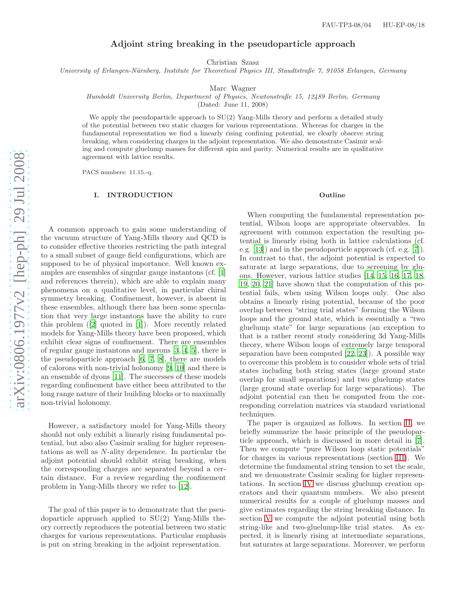# Adjoint string breaking in the pseudoparticle approach

Christian Szasz

University of Erlangen-Nürnberg, Institute for Theoretical Physics III, Staudtstraße 7, 91058 Erlangen, Germany

Marc Wagner

Humboldt University Berlin, Department of Physics, Newtonstraße 15, 12489 Berlin, Germany

(Dated: June 11, 2008)

We apply the pseudoparticle approach to  $SU(2)$  Yang-Mills theory and perform a detailed study of the potential between two static charges for various representations. Whereas for charges in the fundamental representation we find a linearly rising confining potential, we clearly observe string breaking, when considering charges in the adjoint representation. We also demonstrate Casimir scaling and compute gluelump masses for different spin and parity. Numerical results are in qualitative agreement with lattice results.

PACS numbers: 11.15.-q.

### I. INTRODUCTION

A common approach to gain some understanding of the vacuum structure of Yang-Mills theory and QCD is to consider effective theories restricting the path integra l to a small subset of gauge field configurations, which are supposed to be of physical importance. Well known examples are ensembles of singular gauge instantons (cf. [\[1](#page-7-0)] and references therein), which are able to explain many phenomena on a qualitative level, in particular chiral symmetry breaking. Confinement, however, is absent in these ensembles, although there has been some speculation that very large instantons have the ability to cure this problem ([\[2\]](#page-7-1) quoted in [\[1](#page-7-0)]). More recently related models for Yang-Mills theory have been proposed, which exhibit clear signs of confinement. There are ensembles of regular gauge instantons and merons [\[3](#page-7-2), [4](#page-7-3), [5](#page-7-4)], there is the pseudoparticle approach [\[6,](#page-7-5) [7,](#page-7-6) [8\]](#page-7-7), there are models of calorons with non-trivial holonomy [\[9,](#page-7-8) [10\]](#page-7-9) and there is an ensemble of dyons [\[11](#page-7-10)]. The successes of these models regarding confinement have either been attributed to the long range nature of their building blocks or to maximally non-trivial holonomy.

However, a satisfactory model for Yang-Mills theory should not only exhibit a linearly rising fundamental potential, but also also Casimir scaling for higher representations as well as N-ality dependence. In particular the adjoint potential should exhibit string breaking, when the corresponding charges are separated beyond a certain distance. For a review regarding the confinement problem in Yang-Mills theory we refer to [\[12\]](#page-7-11).

The goal of this paper is to demonstrate that the pseudoparticle approach applied to SU(2) Yang-Mills theory correctly reproduces the potential between two static charges for various representations. Particular emphasis is put on string breaking in the adjoint representation.

#### **Outline**

When computing the fundamental representation potential, Wilson loops are appropriate observables. In agreement with common expectation the resulting potential is linearly rising both in lattice calculations (cf. e.g. [\[13\]](#page-8-0)) and in the pseudoparticle approach (cf. e.g. [\[7\]](#page-7-6)) . In contrast to that, the adjoint potential is expected to saturate at large separations, due to screening by gluons. However, various lattice studies [\[14,](#page-8-1) [15](#page-8-2), [16,](#page-8-3) [17](#page-8-4), [18](#page-8-5), [19,](#page-8-6) [20](#page-8-7), [21\]](#page-8-8) have shown that the computation of this potential fails, when using Wilson loops only. One also obtains a linearly rising potential, because of the poor overlap between "string trial states" forming the Wilson loops and the ground state, which is essentially a "two gluelump state" for large separations (an exception to that is a rather recent study considering 3d Yang-Mills theory, where Wilson loops of extremely large temporal separation have been computed [\[22,](#page-8-9) [23](#page-8-10)]). A possible way to overcome this problem is to consider whole sets of trial states including both string states (large ground state overlap for small separations) and two gluelump states (large ground state overlap for large separations). The adjoint potential can then be computed from the corresponding correlation matrices via standard variational techniques.

The paper is organized as follows. In section [II,](#page-1-0) we briefly summarize the basic principle of the pseudoparticle approach, which is discussed in more detail in [\[7\]](#page-7-6). Then we compute "pure Wilson loop static potentials" for charges in various representations (section [III\)](#page-2-0). We determine the fundamental string tension to set the scale, and we demonstrate Casimir scaling for higher representations. In section [IV](#page-3-0) we discuss gluelump creation operators and their quantum numbers. We also present numerical results for a couple of gluelump masses and give estimates regarding the string breaking distance. In section [V](#page-4-0) we compute the adjoint potential using both string-like and two-gluelump-like trial states. As expected, it is linearly rising at intermediate separations, but saturates at large separations. Moreover, we perform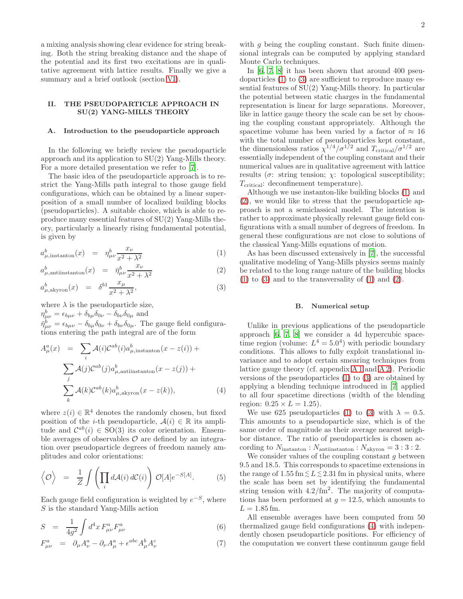a mixing analysis showing clear evidence for string breaking. Both the string breaking distance and the shape of the potential and its first two excitations are in qualitative agreement with lattice results. Finally we give a summary and a brief outlook (section [VI\)](#page-6-0).

### <span id="page-1-0"></span>II. THE PSEUDOPARTICLE APPROACH IN SU(2) YANG-MILLS THEORY

#### A. Introduction to the pseudoparticle approach

In the following we briefly review the pseudoparticle approach and its application to SU(2) Yang-Mills theory. For a more detailed presentation we refer to [\[7](#page-7-6)].

The basic idea of the pseudoparticle approach is to restrict the Yang-Mills path integral to those gauge field configurations, which can be obtained by a linear superposition of a small number of localized building blocks (pseudoparticles). A suitable choice, which is able to reproduce many essential features of SU(2) Yang-Mills theory, particularly a linearly rising fundamental potential, is given by

<span id="page-1-1"></span>
$$
a_{\mu,\text{instanton}}^b(x) = \eta_{\mu\nu}^b \frac{x_{\nu}}{x^2 + \lambda^2} \tag{1}
$$

$$
a_{\mu,\text{antiinstanton}}^b(x) = \bar{\eta}_{\mu\nu}^b \frac{x_\nu}{x^2 + \lambda^2} \tag{2}
$$

$$
a_{\mu,\text{akyron}}^b(x) = \delta^{b1} \frac{x_\mu}{x^2 + \lambda^2},\tag{3}
$$

where  $\lambda$  is the pseudoparticle size,  $\eta_{\mu\nu}^b = \epsilon_{b\mu\nu} + \delta_{b\mu}\delta_{0\nu} - \delta_{b\nu}\delta_{0\mu}$  and  $\bar{\eta}^b_{\mu\nu} = \epsilon_{b\mu\nu} - \delta_{b\mu}\delta_{0\nu} + \delta_{b\nu}\delta_{0\mu}$ . The gauge field configurations entering the path integral are of the form

<span id="page-1-2"></span>
$$
A_{\mu}^{a}(x) = \sum_{i} \mathcal{A}(i) \mathcal{C}^{ab}(i) a_{\mu, \text{instanton}}^{b}(x - z(i)) +
$$

$$
\sum_{j} \mathcal{A}(j) \mathcal{C}^{ab}(j) a_{\mu, \text{antiinstanton}}^{b}(x - z(j)) +
$$

$$
\sum_{k} \mathcal{A}(k) \mathcal{C}^{ab}(k) a_{\mu, \text{akyron}}^{b}(x - z(k)), \tag{4}
$$

where  $z(i) \in \mathbb{R}^4$  denotes the randomly chosen, but fixed position of the *i*-th pseudoparticle,  $A(i) \in \mathbb{R}$  its amplitude and  $\mathcal{C}^{ab}(i) \in SO(3)$  its color orientation. Ensemble averages of observables  $\mathcal O$  are defined by an integration over pseudoparticle degrees of freedom namely amplitudes and color orientations:

$$
\langle \mathcal{O} \rangle = \frac{1}{Z} \int \left( \prod_i d\mathcal{A}(i) d\mathcal{C}(i) \right) \mathcal{O}[A] e^{-S[A]}.
$$
 (5)

Each gauge field configuration is weighted by  $e^{-S}$ , where S is the standard Yang-Mills action

$$
S = \frac{1}{4g^2} \int d^4x \, F^a_{\mu\nu} F^a_{\mu\nu} \tag{6}
$$

$$
F^{a}_{\mu\nu} = \partial_{\mu}A^{a}_{\nu} - \partial_{\nu}A^{a}_{\mu} + \epsilon^{abc}A^{b}_{\mu}A^{c}_{\nu}
$$
 (7)

with  $g$  being the coupling constant. Such finite dimensional integrals can be computed by applying standard Monte Carlo techniques.

In [\[6](#page-7-5), [7](#page-7-6), [8](#page-7-7)] it has been shown that around 400 pseudoparticles [\(1\)](#page-1-1) to [\(3\)](#page-1-1) are sufficient to reproduce many essential features of SU(2) Yang-Mills theory. In particular the potential between static charges in the fundamental representation is linear for large separations. Moreover, like in lattice gauge theory the scale can be set by choosing the coupling constant appropriately. Although the spacetime volume has been varied by a factor of  $\approx 16$ with the total number of pseudoparticles kept constant, the dimensionless ratios  $\chi^{1/4}/\sigma^{1/2}$  and  $T_{\text{critical}}/\sigma^{1/2}$  are essentially independent of the coupling constant and their numerical values are in qualitative agreement with lattice results ( $\sigma$ : string tension;  $\chi$ : topological susceptibility;  $T_{\rm critical}$ : deconfinement temperature).

Although we use instanton-like building blocks [\(1\)](#page-1-1) and [\(2\)](#page-1-1), we would like to stress that the pseudoparticle approach is not a semiclassical model. The intention is rather to approximate physically relevant gauge field configurations with a small number of degrees of freedom. In general these configurations are not close to solutions of the classical Yang-Mills equations of motion.

As has been discussed extensively in [\[7\]](#page-7-6), the successful qualitative modeling of Yang-Mills physics seems mainly be related to the long range nature of the building blocks  $(1)$  to  $(3)$  and to the transversality of  $(1)$  and  $(2)$ .

### B. Numerical setup

Unlike in previous applications of the pseudoparticle approach [\[6](#page-7-5), [7,](#page-7-6) [8\]](#page-7-7) we consider a 4d hypercubic spacetime region (volume:  $L^4 = 5.0^4$ ) with periodic boundary conditions. This allows to fully exploit translational invariance and to adopt certain smearing techniques from lattice gauge theory (cf. appendix [A 1](#page-6-1) and [A 2\)](#page-7-12). Periodic versions of the pseudoparticles [\(1\)](#page-1-1) to [\(3\)](#page-1-1) are obtained by applying a blending technique introduced in [\[7\]](#page-7-6) applied to all four spacetime directions (width of the blending region:  $0.25 \times L = 1.25$ ).

We use 625 pseudoparticles [\(1\)](#page-1-1) to [\(3\)](#page-1-1) with  $\lambda = 0.5$ . This amounts to a pseudoparticle size, which is of the same order of magnitude as their average nearest neighbor distance. The ratio of pseudoparticles is chosen according to  $N_{\text{instanton}}$ :  $N_{\text{antiinstanton}}$ :  $N_{\text{akyron}} = 3:3:2$ .

We consider values of the coupling constant  $q$  between 9.5 and 18.5. This corresponds to spacetime extensions in the range of  $1.55 \,\mathrm{fm} \lesssim L \lesssim 2.31 \,\mathrm{fm}$  in physical units, where the scale has been set by identifying the fundamental string tension with  $4.2/\text{fm}^2$ . The majority of computations has been performed at  $g = 12.5$ , which amounts to  $L = 1.85$  fm.

All ensemble averages have been computed from 50 thermalized gauge field configurations [\(4\)](#page-1-2) with independently chosen pseudoparticle positions. For efficiency of the computation we convert these continuum gauge field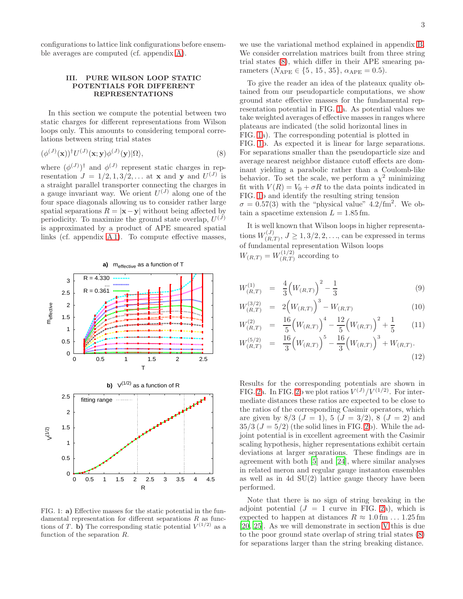configurations to lattice link configurations before ensemble averages are computed (cf. appendix [A\)](#page-6-2).

# <span id="page-2-0"></span>III. PURE WILSON LOOP STATIC POTENTIALS FOR DIFFERENT REPRESENTATIONS

In this section we compute the potential between two static charges for different representations from Wilson loops only. This amounts to considering temporal correlations between string trial states

<span id="page-2-1"></span>
$$
(\phi^{(J)}(\mathbf{x}))^{\dagger} U^{(J)}(\mathbf{x}; \mathbf{y}) \phi^{(J)}(\mathbf{y}) |\Omega\rangle, \tag{8}
$$

where  $(\phi^{(J)})^{\dagger}$  and  $\phi^{(J)}$  represent static charges in representation  $J = 1/2, 1, 3/2, \ldots$  at **x** and **y** and  $U^{(J)}$  is a straight parallel transporter connecting the charges in a gauge invariant way. We orient  $U^{(J)}$  along one of the four space diagonals allowing us to consider rather large spatial separations  $R = |x-y|$  without being affected by periodicity. To maximize the ground state overlap,  $U^{(J)}$ is approximated by a product of APE smeared spatial links (cf. appendix [A 1\)](#page-6-1). To compute effective masses,



<span id="page-2-2"></span>FIG. 1: a) Effective masses for the static potential in the fundamental representation for different separations  $R$  as functions of T. b) The corresponding static potential  $V^{(1/2)}$  as a function of the separation R.

To give the reader an idea of the plateaux quality obtained from our pseudoparticle computations, we show ground state effective masses for the fundamental representation potential in FIG. [1a](#page-2-2). As potential values we take weighted averages of effective masses in ranges where plateaus are indicated (the solid horizontal lines in FIG. [1a](#page-2-2)). The corresponding potential is plotted in FIG. [1b](#page-2-2). As expected it is linear for large separations. For separations smaller than the pseudoparticle size and average nearest neighbor distance cutoff effects are dominant yielding a parabolic rather than a Coulomb-like behavior. To set the scale, we perform a  $\chi^2$  minimizing fit with  $V(R) = V_0 + \sigma R$  to the data points indicated in FIG. [1b](#page-2-2) and identify the resulting string tension  $\sigma = 0.57(3)$  with the "physical value"  $4.2/\text{fm}^2$ . We obtain a spacetime extension  $L = 1.85$  fm.

It is well known that Wilson loops in higher representations  $W_{(R)}^{(J)}$  $(L_{(R,T)}^{(J)}, J \ge 1, 3/2, 2, \ldots,$  can be expressed in terms of fundamental representation Wilson loops  $W_{(R,T)} = W_{(R,T)}^{(1/2)}$  $\binom{(1/2)}{(R,T)}$  according to

$$
W_{(R,T)}^{(1)} = \frac{4}{3} \left( W_{(R,T)} \right)^2 - \frac{1}{3} \tag{9}
$$

$$
W_{(R,T)}^{(3/2)} = 2\left(W_{(R,T)}\right)^3 - W_{(R,T)} \tag{10}
$$

$$
W_{(R,T)}^{(2)} = \frac{16}{5} \left( W_{(R,T)} \right)^4 - \frac{12}{5} \left( W_{(R,T)} \right)^2 + \frac{1}{5}
$$
 (11)

$$
W_{(R,T)}^{(5/2)} = \frac{16}{3} \left( W_{(R,T)} \right)^5 - \frac{16}{3} \left( W_{(R,T)} \right)^3 + W_{(R,T)}.
$$
\n(12)

Results for the corresponding potentials are shown in FIG. [2a](#page-3-1). In FIG. [2b](#page-3-1) we plot ratios  $V^{(J)}/V^{(1/2)}$ . For intermediate distances these ratios are expected to be close to the ratios of the corresponding Casimir operators, which are given by  $8/3$   $(J = 1)$ ,  $5$   $(J = 3/2)$ ,  $8$   $(J = 2)$  and  $35/3 (J = 5/2)$  (the solid lines in FIG. [2b](#page-3-1)). While the adjoint potential is in excellent agreement with the Casimir scaling hypothesis, higher representations exhibit certain deviations at larger separations. These findings are in agreement with both [\[5](#page-7-4)] and [\[24](#page-8-11)], where similar analyses in related meron and regular gauge instanton ensembles as well as in 4d  $SU(2)$  lattice gauge theory have been performed.

Note that there is no sign of string breaking in the adjoint potential  $(J = 1$  curve in FIG. [2a](#page-3-1)), which is expected to happen at distances  $R \approx 1.0$  fm ... 1.25 fm [\[20,](#page-8-7) [25\]](#page-8-12). As we will demonstrate in section [V](#page-4-0) this is due to the poor ground state overlap of string trial states [\(8\)](#page-2-1) for separations larger than the string breaking distance.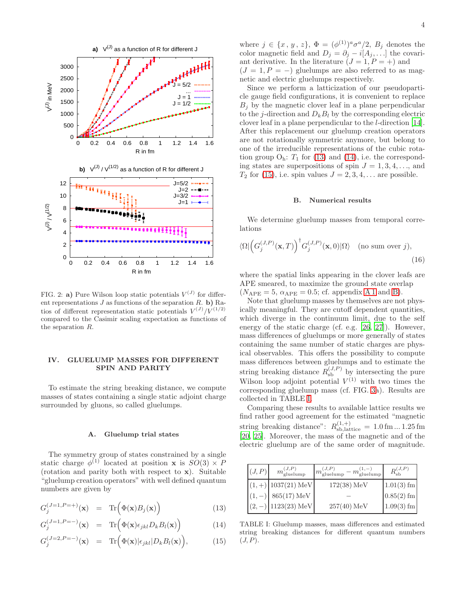

<span id="page-3-1"></span>FIG. 2: **a**) Pure Wilson loop static potentials  $V^{(J)}$  for different representations  $J$  as functions of the separation  $R$ . b) Ratios of different representation static potentials  $V^{(J)}/V^{(1/2)}$ compared to the Casimir scaling expectation as functions of the separation R.

# <span id="page-3-0"></span>IV. GLUELUMP MASSES FOR DIFFERENT SPIN AND PARITY

To estimate the string breaking distance, we compute masses of states containing a single static adjoint charge surrounded by gluons, so called gluelumps.

#### A. Gluelump trial states

The symmetry group of states constrained by a single static charge  $\phi^{(1)}$  located at position **x** is  $SO(3) \times P$ (rotation and parity both with respect to  $x$ ). Suitable "gluelump creation operators" with well defined quantum numbers are given by

<span id="page-3-2"></span>
$$
G_j^{(J=1, P=+)}(\mathbf{x}) = \text{Tr}\left(\Phi(\mathbf{x})B_j(\mathbf{x})\right)
$$
 (13)

$$
G_j^{(J=1, P=-)}(\mathbf{x}) = \text{Tr}\Big(\Phi(\mathbf{x})\epsilon_{jkl}D_kB_l(\mathbf{x})\Big) \tag{14}
$$

$$
G_j^{(J=2,P=-)}(\mathbf{x}) = \text{Tr}\Big(\Phi(\mathbf{x})|\epsilon_{jkl}|D_kB_l(\mathbf{x})\Big),\tag{15}
$$

where  $j \in \{x, y, z\}, \Phi = (\phi^{(1)})^a \sigma^a/2, B_j$  denotes the color magnetic field and  $D_j = \partial_j - i[A_j, \dots]$  the covariant derivative. In the literature  $(J = 1, P = +)$  and  $(J = 1, P = -)$  gluelumps are also referred to as magnetic and electric gluelumps respectively.

Since we perform a latticization of our pseudoparticle gauge field configurations, it is convenient to replace  $B_i$  by the magnetic clover leaf in a plane perpendicular to the *j*-direction and  $D_k B_l$  by the corresponding electric clover leaf in a plane perpendicular to the l-direction [\[14\]](#page-8-1). After this replacement our gluelump creation operators are not rotationally symmetric anymore, but belong to one of the irreducible representations of the cubic rotation group  $O_h$ :  $T_1$  for [\(13\)](#page-3-2) and [\(14\)](#page-3-2), i.e. the corresponding states are superpositions of spin  $J = 1, 3, 4, \ldots$ , and  $T_2$  for [\(15\)](#page-3-2), i.e. spin values  $J = 2, 3, 4, \ldots$  are possible.

#### B. Numerical results

We determine gluelump masses from temporal correlations

$$
\langle \Omega | \left( G_j^{(J,P)}(\mathbf{x}, T) \right)^{\dagger} G_j^{(J,P)}(\mathbf{x}, 0) | \Omega \rangle \quad \text{(no sum over } j), \tag{16}
$$

where the spatial links appearing in the clover leafs are APE smeared, to maximize the ground state overlap  $(N_{\text{APE}} = 5, \alpha_{\text{APE}} = 0.5; \text{ cf. appendix A 1 and B}).$  $(N_{\text{APE}} = 5, \alpha_{\text{APE}} = 0.5; \text{ cf. appendix A 1 and B}).$  $(N_{\text{APE}} = 5, \alpha_{\text{APE}} = 0.5; \text{ cf. appendix A 1 and B}).$ 

Note that gluelump masses by themselves are not physically meaningful. They are cutoff dependent quantities, which diverge in the continuum limit, due to the self energy of the static charge (cf. e.g. [\[26,](#page-8-13) [27\]](#page-8-14)). However, mass differences of gluelumps or more generally of states containing the same number of static charges are physical observables. This offers the possibility to compute mass differences between gluelumps and to estimate the string breaking distance  $R_{\rm sb}^{(J,P)}$  by intersecting the pure Wilson loop adjoint potential  $V^{(1)}$  with two times the corresponding gluelump mass (cf. FIG. [3a](#page-4-1)). Results are collected in TABLE [I.](#page-3-3)

Comparing these results to available lattice results we find rather good agreement for the estimated "magnetic string breaking distance":  $R_{\text{sb},\text{lattice}}^{(1,+)} = 1.0 \,\text{fm} \dots 1.25 \,\text{fm}$ [\[20,](#page-8-7) [25](#page-8-12)]. Moreover, the mass of the magnetic and of the electric gluelump are of the same order of magnitude.

| (J, P) | $m_{\text{gluelump}}^{(J,P)}$ | $m_{\text{gluelump}}^{(J,P)} - m_{\text{gluelump}}^{(1,-)}$ |              |
|--------|-------------------------------|-------------------------------------------------------------|--------------|
|        | $(1,+)$ 1037(21) MeV          | $172(38) \,\mathrm{MeV}$                                    | $1.01(3)$ fm |
|        | $865(17) \,\mathrm{MeV}$      |                                                             | $0.85(2)$ fm |
|        | $1123(23)$ MeV                | $257(40)$ MeV                                               | $1.09(3)$ fm |

<span id="page-3-3"></span>TABLE I: Gluelump masses, mass differences and estimated string breaking distances for different quantum numbers  $(J, P)$ .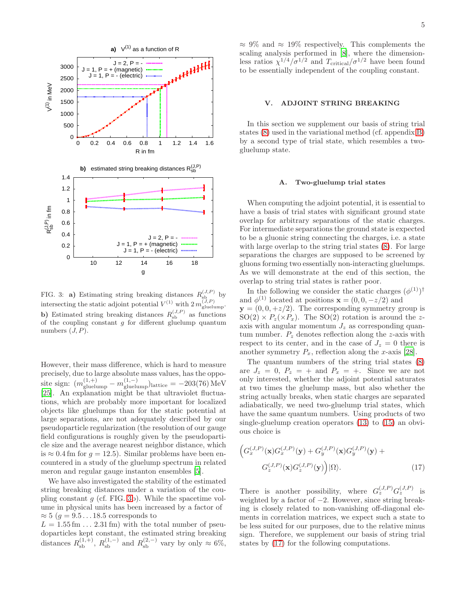

<span id="page-4-1"></span>FIG. 3: **a**) Estimating string breaking distances  $R_{sb}^{(J,P)}$  by intersecting the static adjoint potential  $V^{(1)}$  with  $2 m_{\text{gluelump}}^{(J,P)}$ . **b**) Estimated string breaking distances  $R_{sb}^{(J,P)}$  as functions of the coupling constant  $g$  for different gluelump quantum numbers  $(J, P)$ .

However, their mass difference, which is hard to measure precisely, due to large absolute mass values, has the opposite sign:  $(m_{\text{gluelump}}^{(1,+)}-m_{\text{gluelump}}^{(1,-)})$ lattice = -203(76) MeV [\[25\]](#page-8-12). An explanation might be that ultraviolet fluctuations, which are probably more important for localized objects like gluelumps than for the static potential at large separations, are not adequately described by our pseudoparticle regularization (the resolution of our gauge field configurations is roughly given by the pseudoparticle size and the average nearest neighbor distance, which is  $\approx 0.4$  fm for  $q = 12.5$ ). Similar problems have been encountered in a study of the gluelump spectrum in related meron and regular gauge instanton ensembles [\[5](#page-7-4)].

We have also investigated the stability of the estimated string breaking distances under a variation of the coupling constant  $g$  (cf. FIG. [3b](#page-4-1)). While the spacetime volume in physical units has been increased by a factor of  $\approx 5$  ( $q = 9.5 \dots 18.5$  corresponds to

 $L = 1.55$  fm  $\ldots$  2.31 fm) with the total number of pseudoparticles kept constant, the estimated string breaking distances  $R_{\rm sb}^{(1,+)}$ ,  $R_{\rm sb}^{(1,-)}$  and  $R_{\rm sb}^{(2,-)}$  vary by only  $\approx 6\%$ ,  $\approx 9\%$  and  $\approx 19\%$  respectively. This complements the scaling analysis performed in [\[8\]](#page-7-7), where the dimensionless ratios  $\chi^{1/4}/\sigma^{1/2}$  and  $T_{\text{critical}}/\sigma^{1/2}$  have been found to be essentially independent of the coupling constant.

# <span id="page-4-0"></span>V. ADJOINT STRING BREAKING

In this section we supplement our basis of string trial states [\(8\)](#page-2-1) used in the variational method (cf. appendix [B\)](#page-7-13) by a second type of trial state, which resembles a twogluelump state.

### A. Two-gluelump trial states

When computing the adjoint potential, it is essential to have a basis of trial states with significant ground state overlap for arbitrary separations of the static charges. For intermediate separations the ground state is expected to be a gluonic string connecting the charges, i.e. a state with large overlap to the string trial states [\(8\)](#page-2-1). For large separations the charges are supposed to be screened by gluons forming two essentially non-interacting gluelumps. As we will demonstrate at the end of this section, the overlap to string trial states is rather poor.

In the following we consider the static charges  $(\phi^{(1)})^{\dagger}$ and  $\phi^{(1)}$  located at positions  $\mathbf{x} = (0, 0, -z/2)$  and  $y = (0, 0, +z/2)$ . The corresponding symmetry group is  $SO(2) \times P_z(\times P_x)$ . The  $SO(2)$  rotation is around the zaxis with angular momentum  $J_z$  as corresponding quantum number.  $P_z$  denotes reflection along the z-axis with respect to its center, and in the case of  $J_z = 0$  there is another symmetry  $P_x$ , reflection along the x-axis [\[28\]](#page-8-15).

The quantum numbers of the string trial states [\(8\)](#page-2-1) are  $J_z = 0$ ,  $P_z = +$  and  $P_x = +$ . Since we are not only interested, whether the adjoint potential saturates at two times the gluelump mass, but also whether the string actually breaks, when static charges are separated adiabatically, we need two-gluelump trial states, which have the same quantum numbers. Using products of two single-gluelump creation operators [\(13\)](#page-3-2) to [\(15\)](#page-3-2) an obvious choice is

<span id="page-4-2"></span>
$$
\left(G_x^{(J,P)}(\mathbf{x})G_x^{(J,P)}(\mathbf{y}) + G_y^{(J,P)}(\mathbf{x})G_y^{(J,P)}(\mathbf{y}) + G_z^{(J,P)}(\mathbf{x})G_z^{(J,P)}(\mathbf{y})\right)|\Omega\rangle.
$$
\n(17)

There is another possibility, where  $G_z^{(J,P)}G_z^{(J,P)}$  is weighted by a factor of  $-2$ . However, since string breaking is closely related to non-vanishing off-diagonal elements in correlation matrices, we expect such a state to be less suited for our purposes, due to the relative minus sign. Therefore, we supplement our basis of string trial states by [\(17\)](#page-4-2) for the following computations.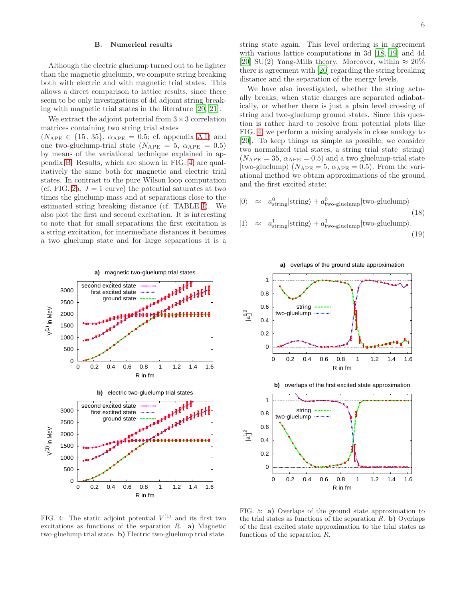### B. Numerical results

Although the electric gluelump turned out to be lighter than the magnetic gluelump, we compute string breaking both with electric and with magnetic trial states. This allows a direct comparison to lattice results, since there seem to be only investigations of 4d adjoint string breaking with magnetic trial states in the literature [\[20](#page-8-7), [21](#page-8-8)].

We extract the adjoint potential from  $3 \times 3$  correlation matrices containing two string trial states

 $(N_{\text{APE}} \in \{15, 35\}, \ \alpha_{\text{APE}} = 0.5; \text{ cf. appendix A 1})$  and one two-gluelump-trial state  $(N_{\text{APE}} = 5, \ \alpha_{\text{APE}} = 0.5)$ by means of the variational technique explained in appendix [B.](#page-7-13) Results, which are shown in FIG. [4,](#page-5-0) are qualitatively the same both for magnetic and electric trial states. In contrast to the pure Wilson loop computation (cf. FIG. [2a](#page-3-1),  $J = 1$  curve) the potential saturates at two times the gluelump mass and at separations close to the estimated string breaking distance (cf. TABLE [I\)](#page-3-3). We also plot the first and second excitation. It is interesting to note that for small separations the first excitation is a string excitation, for intermediate distances it becomes a two gluelump state and for large separations it is a



string state again. This level ordering is in agreement with various lattice computations in 3d [\[18](#page-8-5), [19\]](#page-8-6) and 4d [\[20\]](#page-8-7) SU(2) Yang-Mills theory. Moreover, within  $\approx 20\%$ there is agreement with [\[20](#page-8-7)] regarding the string breaking distance and the separation of the energy levels.

We have also investigated, whether the string actually breaks, when static charges are separated adiabatically, or whether there is just a plain level crossing of string and two-gluelump ground states. Since this question is rather hard to resolve from potential plots like FIG. [4,](#page-5-0) we perform a mixing analysis in close analogy to [\[20\]](#page-8-7). To keep things as simple as possible, we consider two normalized trial states, a string trial state  $|string\rangle$  $(N_{\text{APE}} = 35, \alpha_{\text{APE}} = 0.5)$  and a two gluelump-trial state  $|two\text{-}gluelump\rangle$   $(N_{\text{APE}} = 5, \alpha_{\text{APE}} = 0.5)$ . From the variational method we obtain approximations of the ground and the first excited state:

$$
|0\rangle \approx a_{\text{string}}^0 |\text{string}\rangle + a_{\text{two-gluelump}}^0 |\text{two-gluelump}\rangle
$$
\n(18)

$$
|1\rangle \approx a_{\text{string}}^{1}|\text{string}\rangle + a_{\text{two-gluelump}}^{1}|\text{two-gluelump}\rangle.
$$
\n(19)





<span id="page-5-0"></span>FIG. 4: The static adjoint potential  $V^{(1)}$  and its first two excitations as functions of the separation  $R$ . a) Magnetic two-gluelump trial state. b) Electric two-gluelump trial state.

<span id="page-5-1"></span>FIG. 5: a) Overlaps of the ground state approximation to the trial states as functions of the separation  $R$ . b) Overlaps of the first excited state approximation to the trial states as functions of the separation R.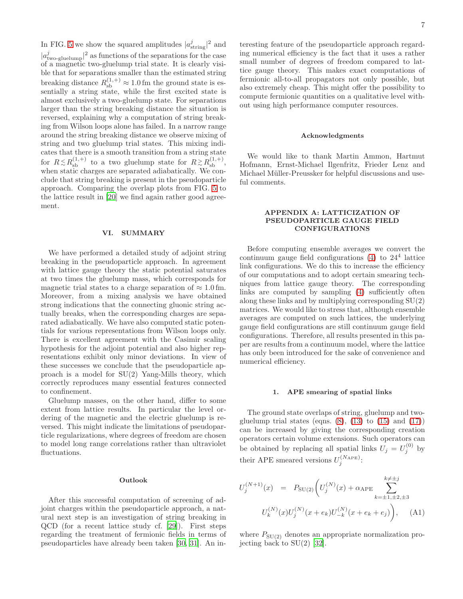In FIG. [5](#page-5-1) we show the squared amplitudes  $|a_{\text{string}}^j|^2$  and  $|a^j_{\text{two-gluelump}}|^2$  as functions of the separations for the case of a magnetic two-gluelump trial state. It is clearly visible that for separations smaller than the estimated string breaking distance  $R_{\rm sb}^{(1,+)}\approx 1.0$  fm the ground state is essentially a string state, while the first excited state is almost exclusively a two-gluelump state. For separations larger than the string breaking distance the situation is reversed, explaining why a computation of string breaking from Wilson loops alone has failed. In a narrow range around the string breaking distance we observe mixing of string and two gluelump trial states. This mixing indicates that there is a smooth transition from a string state for  $R \lesssim R_{\rm sb}^{(1,+)}$  to a two gluelump state for  $R \gtrsim R_{\rm sb}^{(1,+)}$ , when static charges are separated adiabatically. We conclude that string breaking is present in the pseudoparticle approach. Comparing the overlap plots from FIG. [5](#page-5-1) to the lattice result in [\[20\]](#page-8-7) we find again rather good agreement.

### <span id="page-6-0"></span>VI. SUMMARY

We have performed a detailed study of adjoint string breaking in the pseudoparticle approach. In agreement with lattice gauge theory the static potential saturates at two times the gluelump mass, which corresponds for magnetic trial states to a charge separation of  $\approx 1.0$  fm. Moreover, from a mixing analysis we have obtained strong indications that the connecting gluonic string actually breaks, when the corresponding charges are separated adiabatically. We have also computed static potentials for various representations from Wilson loops only. There is excellent agreement with the Casimir scaling hypothesis for the adjoint potential and also higher representations exhibit only minor deviations. In view of these successes we conclude that the pseudoparticle approach is a model for SU(2) Yang-Mills theory, which correctly reproduces many essential features connected to confinement.

Gluelump masses, on the other hand, differ to some extent from lattice results. In particular the level ordering of the magnetic and the electric gluelump is reversed. This might indicate the limitations of pseudoparticle regularizations, where degrees of freedom are chosen to model long range correlations rather than ultraviolet fluctuations.

#### Outlook

After this successful computation of screening of adjoint charges within the pseudoparticle approach, a natural next step is an investigation of string breaking in QCD (for a recent lattice study cf. [\[29\]](#page-8-16)). First steps regarding the treatment of fermionic fields in terms of pseudoparticles have already been taken [\[30](#page-8-17), [31](#page-8-18)]. An in-

teresting feature of the pseudoparticle approach regarding numerical efficiency is the fact that it uses a rather small number of degrees of freedom compared to lattice gauge theory. This makes exact computations of fermionic all-to-all propagators not only possible, but also extremely cheap. This might offer the possibility to compute fermionic quantities on a qualitative level without using high performance computer resources.

### Acknowledgments

We would like to thank Martin Ammon, Hartmut Hofmann, Ernst-Michael Ilgenfritz, Frieder Lenz and Michael Müller-Preussker for helpful discussions and useful comments.

# <span id="page-6-2"></span>APPENDIX A: LATTICIZATION OF PSEUDOPARTICLE GAUGE FIELD CONFIGURATIONS

Before computing ensemble averages we convert the continuum gauge field configurations  $(4)$  to  $24<sup>4</sup>$  lattice link configurations. We do this to increase the efficiency of our computations and to adopt certain smearing techniques from lattice gauge theory. The corresponding links are computed by sampling [\(4\)](#page-1-2) sufficiently often along these links and by multiplying corresponding SU(2) matrices. We would like to stress that, although ensemble averages are computed on such lattices, the underlying gauge field configurations are still continuum gauge field configurations. Therefore, all results presented in this paper are results from a continuum model, where the lattice has only been introduced for the sake of convenience and numerical efficiency.

### <span id="page-6-1"></span>1. APE smearing of spatial links

The ground state overlaps of string, gluelump and twogluelump trial states (eqns.  $(8)$ ,  $(13)$  to  $(15)$  and  $(17)$ ) can be increased by giving the corresponding creation operators certain volume extensions. Such operators can be obtained by replacing all spatial links  $U_j = U_j^{(0)}$  by their APE smeared versions  $U_j^{(N_{\text{APE}})}$ :

$$
U_j^{(N+1)}(x) = P_{\text{SU}(2)} \bigg( U_j^{(N)}(x) + \alpha_{\text{APE}} \sum_{k=\pm 1, \pm 2, \pm 3}^{k \neq \pm j} U_k^{(N)}(x) U_j^{(N)}(x + e_k) U_{-k}^{(N)}(x + e_k + e_j) \bigg), \quad \text{(A1)}
$$

where  $P_{\text{SU(2)}}$  denotes an appropriate normalization projecting back to  $SU(2)$  [\[32\]](#page-8-19).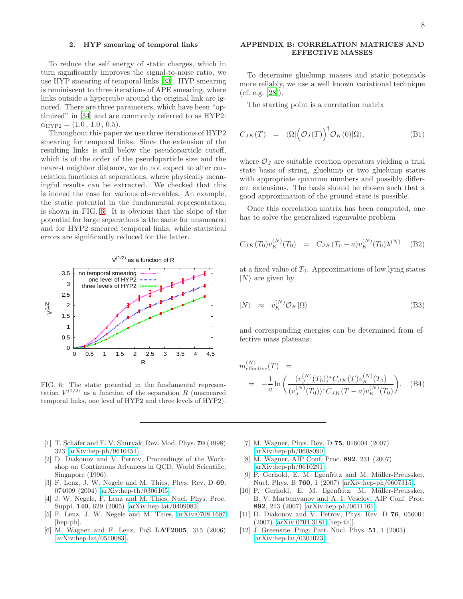### <span id="page-7-12"></span>2. HYP smearing of temporal links

To reduce the self energy of static charges, which in turn significantly improves the signal-to-noise ratio, we use HYP smearing of temporal links [\[33\]](#page-8-20). HYP smearing is reminiscent to three iterations of APE smearing, where links outside a hypercube around the original link are ignored. There are three parameters, which have been "optimized" in [\[34\]](#page-8-21) and are commonly referred to as HYP2:  $\vec{\alpha}_{HYP2} = (1.0, 1.0, 0.5).$ 

Throughout this paper we use three iterations of HYP2 smearing for temporal links. Since the extension of the resulting links is still below the pseudoparticle cutoff, which is of the order of the pseudoparticle size and the nearest neighbor distance, we do not expect to alter correlation functions at separations, where physically meaningful results can be extracted. We checked that this is indeed the case for various observables. An example, the static potential in the fundamental representation, is shown in FIG. [6.](#page-7-14) It is obvious that the slope of the potential for large separations is the same for unsmeared and for HYP2 smeared temporal links, while statistical errors are significantly reduced for the latter.



<span id="page-7-14"></span>FIG. 6: The static potential in the fundamental representation  $V^{(1/2)}$  as a function of the separation R (unsmeared temporal links, one level of HYP2 and three levels of HYP2).

- <span id="page-7-0"></span>[1] T. Schäfer and E. V. Shuryak, Rev. Mod. Phys.  $70$  (1998) 323 [\[arXiv:hep-ph/9610451\]](http://arXiv.org/abs/hep-ph/9610451).
- <span id="page-7-1"></span>[2] D. Diakonov and V. Petrov, Proceedings of the Workshop on Continuous Advances in QCD, World Scientific, Singapore (1996).
- <span id="page-7-2"></span>[3] F. Lenz, J. W. Negele and M. Thies, Phys. Rev. D 69, 074009 (2004) [\[arXiv:hep-th/0306105\]](http://arXiv.org/abs/hep-th/0306105).
- <span id="page-7-3"></span>[4] J. W. Negele, F. Lenz and M. Thies, Nucl. Phys. Proc. Suppl. 140, 629 (2005) [\[arXiv:hep-lat/0409083\]](http://arXiv.org/abs/hep-lat/0409083).
- <span id="page-7-4"></span>[5] F. Lenz, J. W. Negele and M. Thies, [arXiv:0708.1687](http://arXiv.org/abs/0708.1687) [hep-ph].
- <span id="page-7-5"></span>[6] M. Wagner and F. Lenz, PoS LAT2005, 315 (2006)  $\arXiv:hep-lat/0510083$ .

### <span id="page-7-13"></span>APPENDIX B: CORRELATION MATRICES AND EFFECTIVE MASSES

To determine gluelump masses and static potentials more reliably, we use a well known variational technique (cf. e.g. [\[28\]](#page-8-15)).

The starting point is a correlation matrix

$$
C_{JK}(T) = \langle \Omega | \left( \mathcal{O}_J(T) \right)^{\dagger} \mathcal{O}_K(0) | \Omega \rangle, \tag{B1}
$$

where  $\mathcal{O}_J$  are suitable creation operators yielding a trial state basis of string, gluelump or two gluelump states with appropriate quantum numbers and possibly different extensions. The basis should be chosen such that a good approximation of the ground state is possible.

Once this correlation matrix has been computed, one has to solve the generalized eigenvalue problem

$$
C_{JK}(T_0)v_K^{(N)}(T_0) = C_{JK}(T_0 - a)v_K^{(N)}(T_0)\lambda^{(N)} \quad (B2)
$$

at a fixed value of  $T_0$ . Approximations of low lying states  $|N\rangle$  are given by

$$
|N\rangle \approx v_K^{(N)} \mathcal{O}_K |\Omega\rangle \tag{B3}
$$

and corresponding energies can be determined from effective mass plateaus:

$$
m_{\text{effective}}^{(N)}(T) =
$$
  
= 
$$
-\frac{1}{a} \ln \left( \frac{(v_J^{(N)}(T_0))^* C_{JK}(T) v_K^{(N)}(T_0)}{(v_J^{(N)}(T_0))^* C_{JK}(T-a) v_K^{(N)}(T_0)} \right).
$$
 (B4)

- <span id="page-7-6"></span>[7] M. Wagner, Phys. Rev. D 75, 016004 (2007) [\[arXiv:hep-ph/0608090\]](http://arXiv.org/abs/hep-ph/0608090).
- <span id="page-7-7"></span>[8] M. Wagner, AIP Conf. Proc. 892, 231 (2007) [\[arXiv:hep-ph/0610291\]](http://arXiv.org/abs/hep-ph/0610291).
- <span id="page-7-8"></span>P. Gerhold, E. M. Ilgenfritz and M. Müller-Preussker, Nucl. Phys. B 760, 1 (2007) [\[arXiv:hep-ph/0607315\]](http://arXiv.org/abs/hep-ph/0607315).
- <span id="page-7-9"></span>[10] P. Gerhold, E. M. Ilgenfritz, M. Müller-Preussker, B. V. Martemyanov and A. I. Veselov, AIP Conf. Proc. 892, 213 (2007) [\[arXiv:hep-ph/0611161\]](http://arXiv.org/abs/hep-ph/0611161).
- <span id="page-7-10"></span>[11] D. Diakonov and V. Petrov, Phys. Rev. D 76, 056001 (2007) [\[arXiv:0704.3181](http://arXiv.org/abs/0704.3181) [hep-th]].
- <span id="page-7-11"></span>[12] J. Greensite, Prog. Part. Nucl. Phys. 51, 1 (2003) [\[arXiv:hep-lat/0301023\]](http://arXiv.org/abs/hep-lat/0301023).